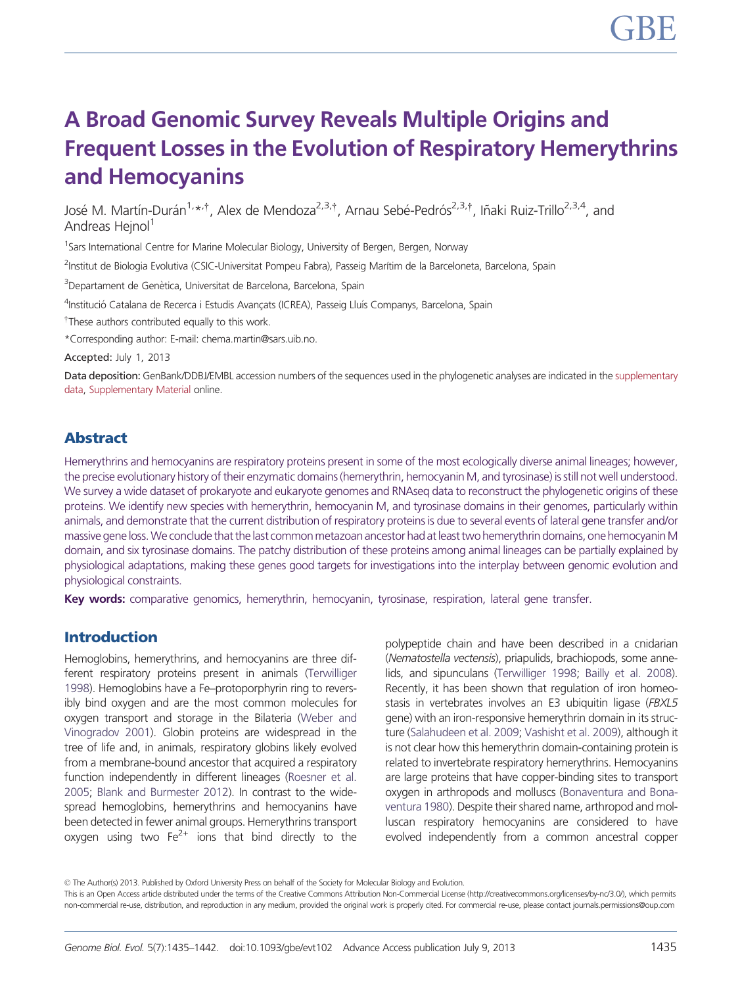## A Broad Genomic Survey Reveals Multiple Origins and Frequent Losses in the Evolution of Respiratory Hemerythrins and Hemocyanins

José M. Martín-Durán<sup>1,</sup>\*<sup>,†</sup>, Alex de Mendoza<sup>2,3,†</sup>, Arnau Sebé-Pedrós<sup>2,3,†</sup>, Iñaki Ruiz-Trillo<sup>2,3,4</sup>, and Andreas Heinol<sup>1</sup>

<sup>1</sup>Sars International Centre for Marine Molecular Biology, University of Bergen, Bergen, Norway

<sup>2</sup>Institut de Biologia Evolutiva (CSIC-Universitat Pompeu Fabra), Passeig Marítim de la Barceloneta, Barcelona, Spain

<sup>3</sup>Departament de Genètica, Universitat de Barcelona, Barcelona, Spain

<sup>4</sup>Institució Catalana de Recerca i Estudis Avançats (ICREA), Passeig Lluís Companys, Barcelona, Spain

<sup>†</sup>These authors contributed equally to this work.

\*Corresponding author: E-mail: chema.martin@sars.uib.no.

Accepted: July 1, 2013

Data deposition: GenBank/DDBJ/EMBL accession numbers of the sequences used in the phylogenetic analyses are indicated in the [supplementary](http://gbe.oxfordjournals.org/lookup/suppl/doi:10.1093/gbe/evt102/-/DC1) [data,](http://gbe.oxfordjournals.org/lookup/suppl/doi:10.1093/gbe/evt102/-/DC1) [Supplementary Material](http://gbe.oxfordjournals.org/lookup/suppl/doi:10.1093/gbe/evt102/-/DC1) online.

### Abstract

Hemerythrins and hemocyanins are respiratory proteins present in some of the most ecologically diverse animal lineages; however, the precise evolutionary history of their enzymatic domains (hemerythrin, hemocyanin M, and tyrosinase) is still not well understood. We survey a wide dataset of prokaryote and eukaryote genomes and RNAseq data to reconstruct the phylogenetic origins of these proteins. We identify new species with hemerythrin, hemocyanin M, and tyrosinase domains in their genomes, particularly within animals, and demonstrate that the current distribution of respiratory proteins is due to several events of lateral gene transfer and/or massive gene loss. We conclude that the last common metazoan ancestor had at least two hemerythrin domains, one hemocyanin M domain, and six tyrosinase domains. The patchy distribution of these proteins among animal lineages can be partially explained by physiological adaptations, making these genes good targets for investigations into the interplay between genomic evolution and physiological constraints.

Key words: comparative genomics, hemerythrin, hemocyanin, tyrosinase, respiration, lateral gene transfer.

#### Introduction

Hemoglobins, hemerythrins, and hemocyanins are three different respiratory proteins present in animals [\(Terwilliger](#page-7-0) [1998\)](#page-7-0). Hemoglobins have a Fe–protoporphyrin ring to reversibly bind oxygen and are the most common molecules for oxygen transport and storage in the Bilateria [\(Weber and](#page-7-0) [Vinogradov 2001\)](#page-7-0). Globin proteins are widespread in the tree of life and, in animals, respiratory globins likely evolved from a membrane-bound ancestor that acquired a respiratory function independently in different lineages [\(Roesner et al.](#page-7-0) [2005;](#page-7-0) [Blank and Burmester 2012\)](#page-6-0). In contrast to the widespread hemoglobins, hemerythrins and hemocyanins have been detected in fewer animal groups. Hemerythrins transport oxygen using two  $Fe^{2+}$  ions that bind directly to the

polypeptide chain and have been described in a cnidarian (Nematostella vectensis), priapulids, brachiopods, some annelids, and sipunculans [\(Terwilliger 1998](#page-7-0); [Bailly et al. 2008\)](#page-6-0). Recently, it has been shown that regulation of iron homeostasis in vertebrates involves an E3 ubiquitin ligase (FBXL5 gene) with an iron-responsive hemerythrin domain in its structure [\(Salahudeen et al. 2009;](#page-7-0) [Vashisht et al. 2009](#page-7-0)), although it is not clear how this hemerythrin domain-containing protein is related to invertebrate respiratory hemerythrins. Hemocyanins are large proteins that have copper-binding sites to transport oxygen in arthropods and molluscs [\(Bonaventura and Bona](#page-7-0)[ventura 1980](#page-7-0)). Despite their shared name, arthropod and molluscan respiratory hemocyanins are considered to have evolved independently from a common ancestral copper

© The Author(s) 2013. Published by Oxford University Press on behalf of the Society for Molecular Biology and Evolution.

This is an Open Access article distributed under the terms of the Creative Commons Attribution Non-Commercial License (http://creativecommons.org/licenses/by-nc/3.0/), which permits non-commercial re-use, distribution, and reproduction in any medium, provided the original work is properly cited. For commercial re-use, please contact journals.permissions@oup.com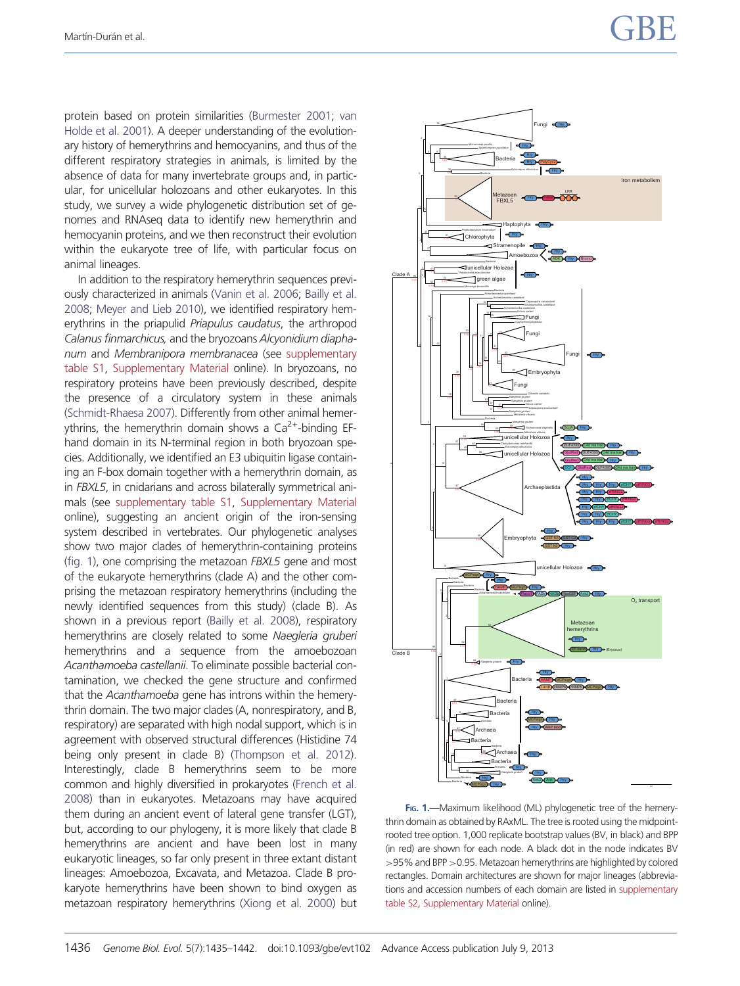protein based on protein similarities [\(Burmester 2001;](#page-7-0) [van](#page-7-0) [Holde et al. 2001\)](#page-7-0). A deeper understanding of the evolutionary history of hemerythrins and hemocyanins, and thus of the different respiratory strategies in animals, is limited by the absence of data for many invertebrate groups and, in particular, for unicellular holozoans and other eukaryotes. In this study, we survey a wide phylogenetic distribution set of genomes and RNAseq data to identify new hemerythrin and hemocyanin proteins, and we then reconstruct their evolution within the eukaryote tree of life, with particular focus on animal lineages.

In addition to the respiratory hemerythrin sequences previously characterized in animals ([Vanin et al. 2006](#page-7-0); [Bailly et al.](#page-6-0) [2008;](#page-6-0) [Meyer and Lieb 2010](#page-7-0)), we identified respiratory hemerythrins in the priapulid Priapulus caudatus, the arthropod Calanus finmarchicus, and the bryozoans Alcyonidium diaphanum and Membranipora membranacea (see [supplementary](http://gbe.oxfordjournals.org/lookup/suppl/doi:10.1093/gbe/evt102/-/DC1) [table S1](http://gbe.oxfordjournals.org/lookup/suppl/doi:10.1093/gbe/evt102/-/DC1), [Supplementary Material](http://gbe.oxfordjournals.org/lookup/suppl/doi:10.1093/gbe/evt102/-/DC1) online). In bryozoans, no respiratory proteins have been previously described, despite the presence of a circulatory system in these animals [\(Schmidt-Rhaesa 2007\)](#page-7-0). Differently from other animal hemerythrins, the hemerythrin domain shows a Ca<sup>2+</sup>-binding EFhand domain in its N-terminal region in both bryozoan species. Additionally, we identified an E3 ubiquitin ligase containing an F-box domain together with a hemerythrin domain, as in FBXL5, in cnidarians and across bilaterally symmetrical animals (see [supplementary table S1,](http://gbe.oxfordjournals.org/lookup/suppl/doi:10.1093/gbe/evt102/-/DC1) [Supplementary Material](http://gbe.oxfordjournals.org/lookup/suppl/doi:10.1093/gbe/evt102/-/DC1) online), suggesting an ancient origin of the iron-sensing system described in vertebrates. Our phylogenetic analyses show two major clades of hemerythrin-containing proteins (fig. 1), one comprising the metazoan FBXL5 gene and most of the eukaryote hemerythrins (clade A) and the other comprising the metazoan respiratory hemerythrins (including the newly identified sequences from this study) (clade B). As shown in a previous report ([Bailly et al. 2008\)](#page-6-0), respiratory hemerythrins are closely related to some Naegleria gruberi hemerythrins and a sequence from the amoebozoan Acanthamoeba castellanii. To eliminate possible bacterial contamination, we checked the gene structure and confirmed that the Acanthamoeba gene has introns within the hemerythrin domain. The two major clades (A, nonrespiratory, and B, respiratory) are separated with high nodal support, which is in agreement with observed structural differences (Histidine 74 being only present in clade B) [\(Thompson et al. 2012](#page-7-0)). Interestingly, clade B hemerythrins seem to be more common and highly diversified in prokaryotes [\(French et al.](#page-7-0) [2008\)](#page-7-0) than in eukaryotes. Metazoans may have acquired them during an ancient event of lateral gene transfer (LGT), but, according to our phylogeny, it is more likely that clade B hemerythrins are ancient and have been lost in many eukaryotic lineages, so far only present in three extant distant lineages: Amoebozoa, Excavata, and Metazoa. Clade B prokaryote hemerythrins have been shown to bind oxygen as metazoan respiratory hemerythrins ([Xiong et al. 2000](#page-7-0)) but



FIG. 1.—Maximum likelihood (ML) phylogenetic tree of the hemerythrin domain as obtained by RAxML. The tree is rooted using the midpointrooted tree option. 1,000 replicate bootstrap values (BV, in black) and BPP (in red) are shown for each node. A black dot in the node indicates BV >95% and BPP >0.95. Metazoan hemerythrins are highlighted by colored rectangles. Domain architectures are shown for major lineages (abbreviations and accession numbers of each domain are listed in [supplementary](http://gbe.oxfordjournals.org/lookup/suppl/doi:10.1093/gbe/evt102/-/DC1) [table S2](http://gbe.oxfordjournals.org/lookup/suppl/doi:10.1093/gbe/evt102/-/DC1), [Supplementary Material](http://gbe.oxfordjournals.org/lookup/suppl/doi:10.1093/gbe/evt102/-/DC1) online).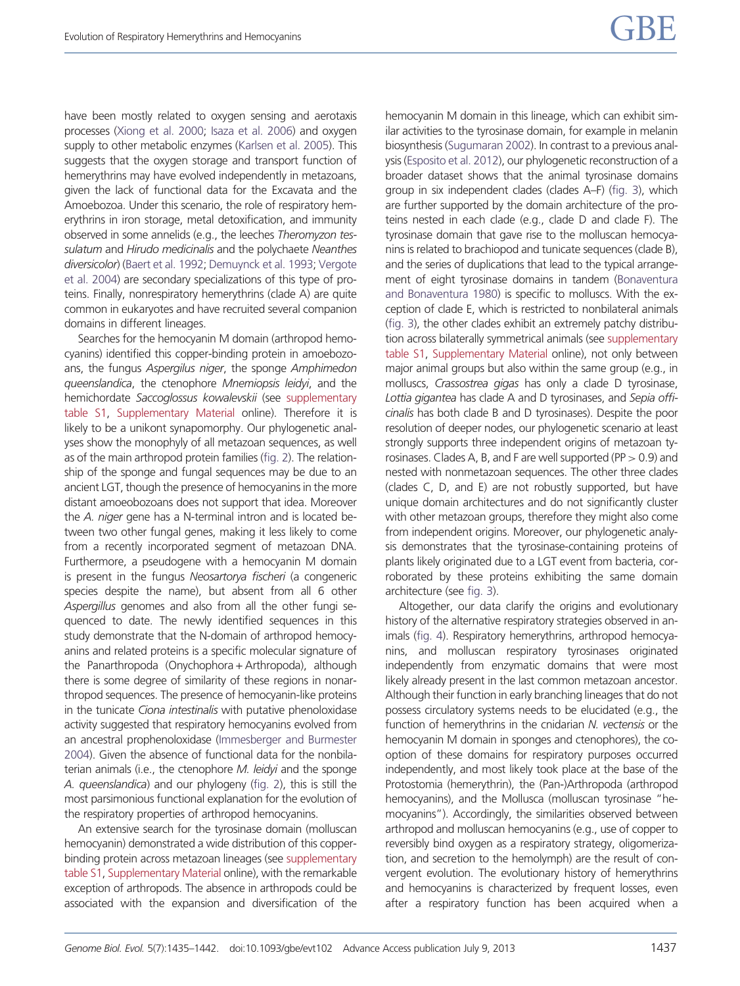have been mostly related to oxygen sensing and aerotaxis processes [\(Xiong et al. 2000;](#page-7-0) [Isaza et al. 2006](#page-7-0)) and oxygen supply to other metabolic enzymes [\(Karlsen et al. 2005\)](#page-7-0). This suggests that the oxygen storage and transport function of hemerythrins may have evolved independently in metazoans, given the lack of functional data for the Excavata and the Amoebozoa. Under this scenario, the role of respiratory hemerythrins in iron storage, metal detoxification, and immunity observed in some annelids (e.g., the leeches Theromyzon tessulatum and Hirudo medicinalis and the polychaete Neanthes diversicolor) [\(Baert et al. 1992;](#page-6-0) [Demuynck et al. 1993](#page-7-0); [Vergote](#page-7-0) [et al. 2004](#page-7-0)) are secondary specializations of this type of proteins. Finally, nonrespiratory hemerythrins (clade A) are quite common in eukaryotes and have recruited several companion domains in different lineages.

Searches for the hemocyanin M domain (arthropod hemocyanins) identified this copper-binding protein in amoebozoans, the fungus Aspergilus niger, the sponge Amphimedon queenslandica, the ctenophore Mnemiopsis leidyi, and the hemichordate Saccoglossus kowalevskii (see [supplementary](http://gbe.oxfordjournals.org/lookup/suppl/doi:10.1093/gbe/evt102/-/DC1) [table S1,](http://gbe.oxfordjournals.org/lookup/suppl/doi:10.1093/gbe/evt102/-/DC1) [Supplementary Material](http://gbe.oxfordjournals.org/lookup/suppl/doi:10.1093/gbe/evt102/-/DC1) online). Therefore it is likely to be a unikont synapomorphy. Our phylogenetic analyses show the monophyly of all metazoan sequences, as well as of the main arthropod protein families [\(fig. 2\)](#page-3-0). The relationship of the sponge and fungal sequences may be due to an ancient LGT, though the presence of hemocyanins in the more distant amoeobozoans does not support that idea. Moreover the A. niger gene has a N-terminal intron and is located between two other fungal genes, making it less likely to come from a recently incorporated segment of metazoan DNA. Furthermore, a pseudogene with a hemocyanin M domain is present in the fungus Neosartorya fischeri (a congeneric species despite the name), but absent from all 6 other Aspergillus genomes and also from all the other fungi sequenced to date. The newly identified sequences in this study demonstrate that the N-domain of arthropod hemocyanins and related proteins is a specific molecular signature of the Panarthropoda (Onychophora+ Arthropoda), although there is some degree of similarity of these regions in nonarthropod sequences. The presence of hemocyanin-like proteins in the tunicate Ciona intestinalis with putative phenoloxidase activity suggested that respiratory hemocyanins evolved from an ancestral prophenoloxidase [\(Immesberger and Burmester](#page-7-0) [2004\)](#page-7-0). Given the absence of functional data for the nonbilaterian animals (i.e., the ctenophore M. leidyi and the sponge A. queenslandica) and our phylogeny [\(fig. 2](#page-3-0)), this is still the most parsimonious functional explanation for the evolution of the respiratory properties of arthropod hemocyanins.

An extensive search for the tyrosinase domain (molluscan hemocyanin) demonstrated a wide distribution of this copperbinding protein across metazoan lineages (see [supplementary](http://gbe.oxfordjournals.org/lookup/suppl/doi:10.1093/gbe/evt102/-/DC1) [table S1](http://gbe.oxfordjournals.org/lookup/suppl/doi:10.1093/gbe/evt102/-/DC1), [Supplementary Material](http://gbe.oxfordjournals.org/lookup/suppl/doi:10.1093/gbe/evt102/-/DC1) online), with the remarkable exception of arthropods. The absence in arthropods could be associated with the expansion and diversification of the

hemocyanin M domain in this lineage, which can exhibit similar activities to the tyrosinase domain, for example in melanin biosynthesis ([Sugumaran 2002](#page-7-0)). In contrast to a previous analysis ([Esposito et al. 2012](#page-7-0)), our phylogenetic reconstruction of a broader dataset shows that the animal tyrosinase domains group in six independent clades (clades A–F) ([fig. 3](#page-4-0)), which are further supported by the domain architecture of the proteins nested in each clade (e.g., clade D and clade F). The tyrosinase domain that gave rise to the molluscan hemocyanins is related to brachiopod and tunicate sequences (clade B), and the series of duplications that lead to the typical arrangement of eight tyrosinase domains in tandem [\(Bonaventura](#page-7-0) [and Bonaventura 1980\)](#page-7-0) is specific to molluscs. With the exception of clade E, which is restricted to nonbilateral animals ([fig. 3](#page-4-0)), the other clades exhibit an extremely patchy distribution across bilaterally symmetrical animals (see [supplementary](http://gbe.oxfordjournals.org/lookup/suppl/doi:10.1093/gbe/evt102/-/DC1) [table S1](http://gbe.oxfordjournals.org/lookup/suppl/doi:10.1093/gbe/evt102/-/DC1), [Supplementary Material](http://gbe.oxfordjournals.org/lookup/suppl/doi:10.1093/gbe/evt102/-/DC1) online), not only between major animal groups but also within the same group (e.g., in molluscs, Crassostrea gigas has only a clade D tyrosinase, Lottia gigantea has clade A and D tyrosinases, and Sepia officinalis has both clade B and D tyrosinases). Despite the poor resolution of deeper nodes, our phylogenetic scenario at least strongly supports three independent origins of metazoan tyrosinases. Clades A, B, and F are well supported ( $PP > 0.9$ ) and nested with nonmetazoan sequences. The other three clades (clades C, D, and E) are not robustly supported, but have unique domain architectures and do not significantly cluster with other metazoan groups, therefore they might also come from independent origins. Moreover, our phylogenetic analysis demonstrates that the tyrosinase-containing proteins of plants likely originated due to a LGT event from bacteria, corroborated by these proteins exhibiting the same domain architecture (see [fig. 3\)](#page-4-0).

Altogether, our data clarify the origins and evolutionary history of the alternative respiratory strategies observed in animals ([fig. 4](#page-5-0)). Respiratory hemerythrins, arthropod hemocyanins, and molluscan respiratory tyrosinases originated independently from enzymatic domains that were most likely already present in the last common metazoan ancestor. Although their function in early branching lineages that do not possess circulatory systems needs to be elucidated (e.g., the function of hemerythrins in the cnidarian N. vectensis or the hemocyanin M domain in sponges and ctenophores), the cooption of these domains for respiratory purposes occurred independently, and most likely took place at the base of the Protostomia (hemerythrin), the (Pan-)Arthropoda (arthropod hemocyanins), and the Mollusca (molluscan tyrosinase "hemocyanins"). Accordingly, the similarities observed between arthropod and molluscan hemocyanins (e.g., use of copper to reversibly bind oxygen as a respiratory strategy, oligomerization, and secretion to the hemolymph) are the result of convergent evolution. The evolutionary history of hemerythrins and hemocyanins is characterized by frequent losses, even after a respiratory function has been acquired when a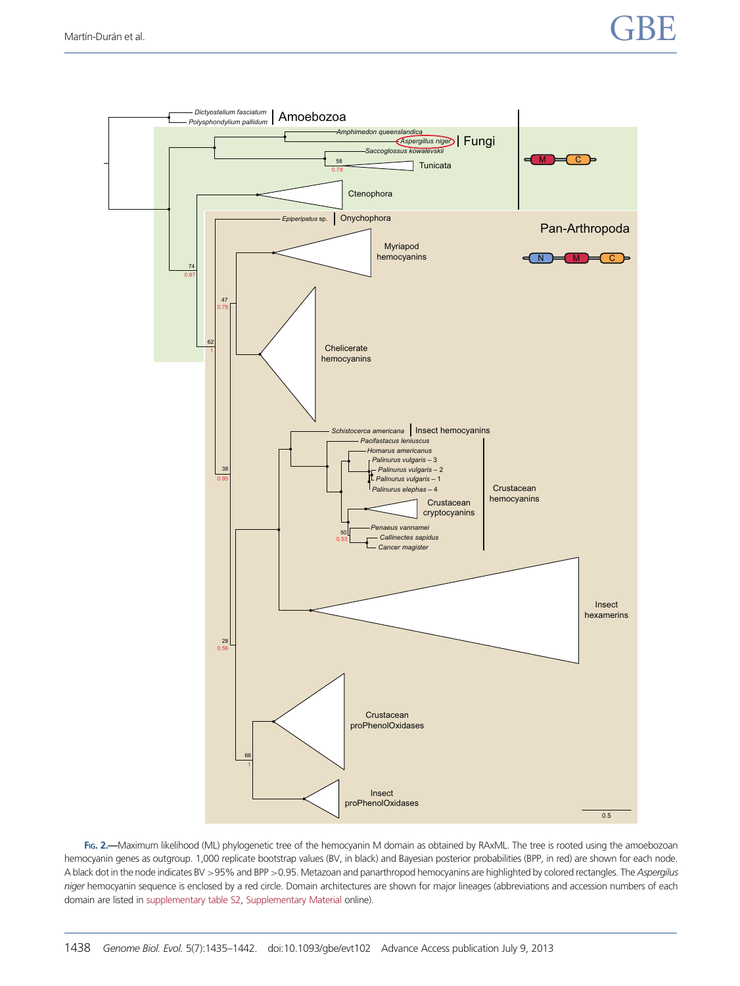<span id="page-3-0"></span>

FIG. 2.—Maximum likelihood (ML) phylogenetic tree of the hemocyanin M domain as obtained by RAxML. The tree is rooted using the amoebozoan hemocyanin genes as outgroup. 1,000 replicate bootstrap values (BV, in black) and Bayesian posterior probabilities (BPP, in red) are shown for each node. A black dot in the node indicates BV >95% and BPP >0.95. Metazoan and panarthropod hemocyanins are highlighted by colored rectangles. The Aspergilus niger hemocyanin sequence is enclosed by a red circle. Domain architectures are shown for major lineages (abbreviations and accession numbers of each domain are listed in [supplementary table S2,](http://gbe.oxfordjournals.org/lookup/suppl/doi:10.1093/gbe/evt102/-/DC1) [Supplementary Material](http://gbe.oxfordjournals.org/lookup/suppl/doi:10.1093/gbe/evt102/-/DC1) online).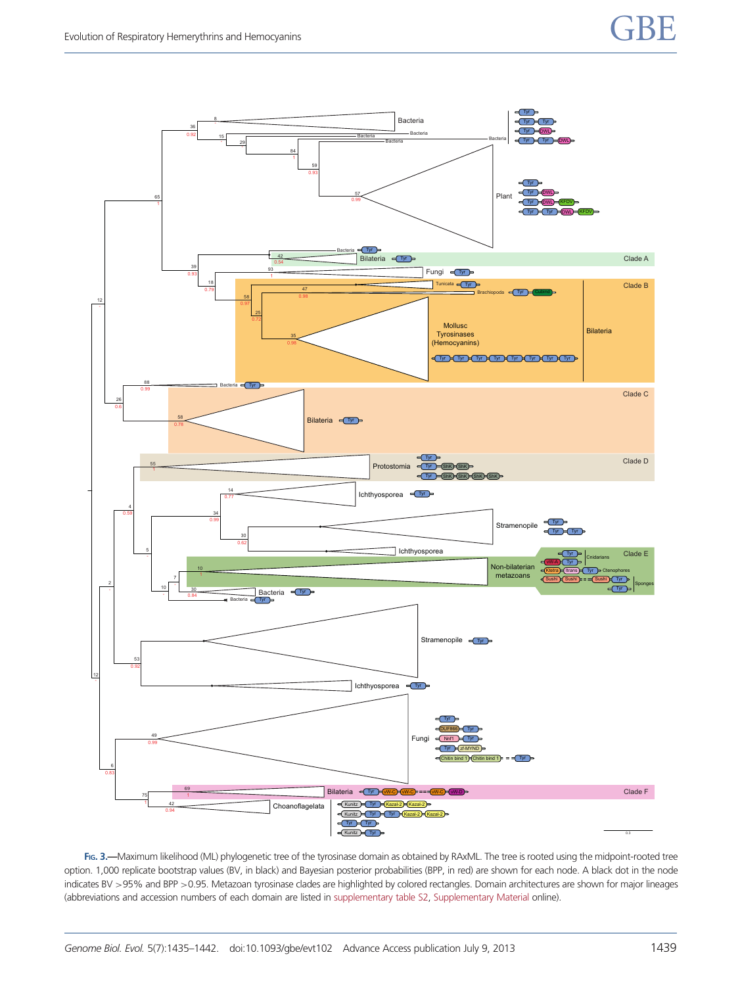<span id="page-4-0"></span>

FIG. 3.—Maximum likelihood (ML) phylogenetic tree of the tyrosinase domain as obtained by RAxML. The tree is rooted using the midpoint-rooted tree option. 1,000 replicate bootstrap values (BV, in black) and Bayesian posterior probabilities (BPP, in red) are shown for each node. A black dot in the node indicates BV >95% and BPP >0.95. Metazoan tyrosinase clades are highlighted by colored rectangles. Domain architectures are shown for major lineages (abbreviations and accession numbers of each domain are listed in [supplementary table S2,](http://gbe.oxfordjournals.org/lookup/suppl/doi:10.1093/gbe/evt102/-/DC1) [Supplementary Material](http://gbe.oxfordjournals.org/lookup/suppl/doi:10.1093/gbe/evt102/-/DC1) online).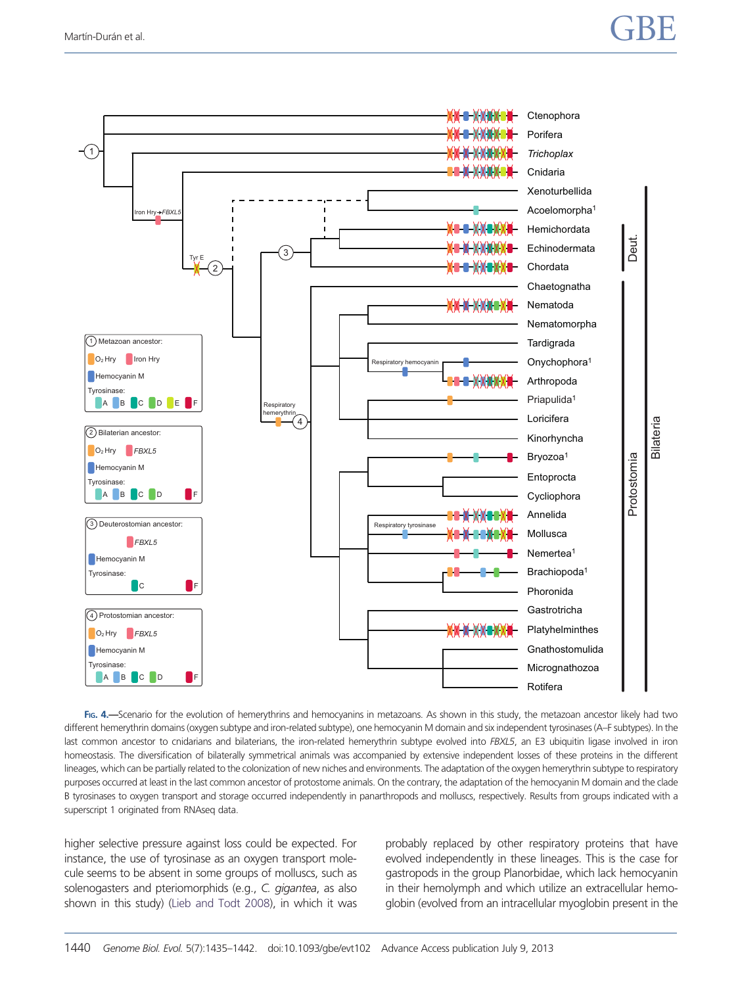# <span id="page-5-0"></span>Martín-Durán et al.  $\overline{GBE}$



FIG. 4. -Scenario for the evolution of hemerythrins and hemocyanins in metazoans. As shown in this study, the metazoan ancestor likely had two different hemerythrin domains (oxygen subtype and iron-related subtype), one hemocyanin M domain and six independent tyrosinases (A–F subtypes). In the last common ancestor to cnidarians and bilaterians, the iron-related hemerythrin subtype evolved into FBXL5, an E3 ubiquitin ligase involved in iron homeostasis. The diversification of bilaterally symmetrical animals was accompanied by extensive independent losses of these proteins in the different lineages, which can be partially related to the colonization of new niches and environments. The adaptation of the oxygen hemerythrin subtype to respiratory purposes occurred at least in the last common ancestor of protostome animals. On the contrary, the adaptation of the hemocyanin M domain and the clade B tyrosinases to oxygen transport and storage occurred independently in panarthropods and molluscs, respectively. Results from groups indicated with a superscript 1 originated from RNAseq data.

higher selective pressure against loss could be expected. For instance, the use of tyrosinase as an oxygen transport molecule seems to be absent in some groups of molluscs, such as solenogasters and pteriomorphids (e.g., C. gigantea, as also shown in this study) [\(Lieb and Todt 2008](#page-7-0)), in which it was probably replaced by other respiratory proteins that have evolved independently in these lineages. This is the case for gastropods in the group Planorbidae, which lack hemocyanin in their hemolymph and which utilize an extracellular hemoglobin (evolved from an intracellular myoglobin present in the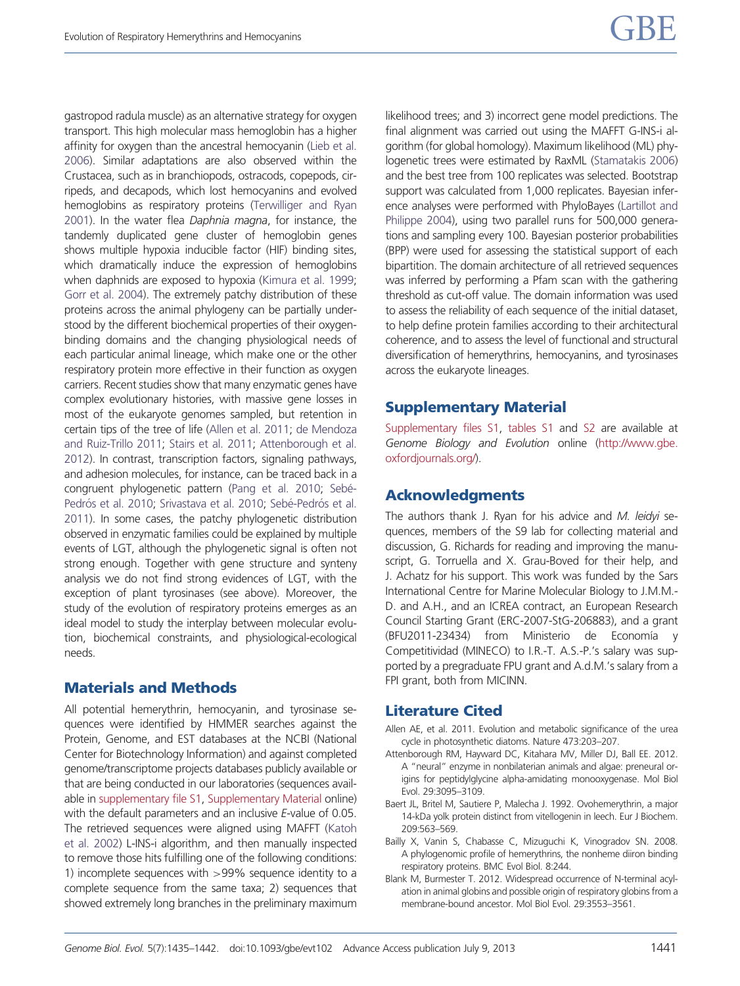<span id="page-6-0"></span>gastropod radula muscle) as an alternative strategy for oxygen transport. This high molecular mass hemoglobin has a higher affinity for oxygen than the ancestral hemocyanin ([Lieb et al.](#page-7-0) [2006\)](#page-7-0). Similar adaptations are also observed within the Crustacea, such as in branchiopods, ostracods, copepods, cirripeds, and decapods, which lost hemocyanins and evolved hemoglobins as respiratory proteins [\(Terwilliger and Ryan](#page-7-0) [2001\)](#page-7-0). In the water flea Daphnia magna, for instance, the tandemly duplicated gene cluster of hemoglobin genes shows multiple hypoxia inducible factor (HIF) binding sites, which dramatically induce the expression of hemoglobins when daphnids are exposed to hypoxia [\(Kimura et al. 1999;](#page-7-0) [Gorr et al. 2004](#page-7-0)). The extremely patchy distribution of these proteins across the animal phylogeny can be partially understood by the different biochemical properties of their oxygenbinding domains and the changing physiological needs of each particular animal lineage, which make one or the other respiratory protein more effective in their function as oxygen carriers. Recent studies show that many enzymatic genes have complex evolutionary histories, with massive gene losses in most of the eukaryote genomes sampled, but retention in certain tips of the tree of life (Allen et al. 2011; [de Mendoza](#page-7-0) [and Ruiz-Trillo 2011](#page-7-0); [Stairs et al. 2011](#page-7-0); Attenborough et al. 2012). In contrast, transcription factors, signaling pathways, and adhesion molecules, for instance, can be traced back in a congruent phylogenetic pattern ([Pang et al. 2010;](#page-7-0) Sebé-Pedrós et al. 2010; [Srivastava et al. 2010;](#page-7-0) Sebé-Pedrós et al. [2011\)](#page-7-0). In some cases, the patchy phylogenetic distribution observed in enzymatic families could be explained by multiple events of LGT, although the phylogenetic signal is often not strong enough. Together with gene structure and synteny analysis we do not find strong evidences of LGT, with the exception of plant tyrosinases (see above). Moreover, the study of the evolution of respiratory proteins emerges as an ideal model to study the interplay between molecular evolution, biochemical constraints, and physiological-ecological needs.

#### Materials and Methods

All potential hemerythrin, hemocyanin, and tyrosinase sequences were identified by HMMER searches against the Protein, Genome, and EST databases at the NCBI (National Center for Biotechnology Information) and against completed genome/transcriptome projects databases publicly available or that are being conducted in our laboratories (sequences available in [supplementary file S1](http://gbe.oxfordjournals.org/lookup/suppl/doi:10.1093/gbe/evt102/-/DC1), [Supplementary Material](http://gbe.oxfordjournals.org/lookup/suppl/doi:10.1093/gbe/evt102/-/DC1) online) with the default parameters and an inclusive E-value of 0.05. The retrieved sequences were aligned using MAFFT [\(Katoh](#page-7-0) [et al. 2002\)](#page-7-0) L-INS-i algorithm, and then manually inspected to remove those hits fulfilling one of the following conditions: 1) incomplete sequences with >99% sequence identity to a complete sequence from the same taxa; 2) sequences that showed extremely long branches in the preliminary maximum

likelihood trees; and 3) incorrect gene model predictions. The final alignment was carried out using the MAFFT G-INS-i algorithm (for global homology). Maximum likelihood (ML) phylogenetic trees were estimated by RaxML [\(Stamatakis 2006](#page-7-0)) and the best tree from 100 replicates was selected. Bootstrap support was calculated from 1,000 replicates. Bayesian inference analyses were performed with PhyloBayes [\(Lartillot and](#page-7-0) [Philippe 2004\)](#page-7-0), using two parallel runs for 500,000 generations and sampling every 100. Bayesian posterior probabilities (BPP) were used for assessing the statistical support of each bipartition. The domain architecture of all retrieved sequences was inferred by performing a Pfam scan with the gathering threshold as cut-off value. The domain information was used to assess the reliability of each sequence of the initial dataset, to help define protein families according to their architectural coherence, and to assess the level of functional and structural diversification of hemerythrins, hemocyanins, and tyrosinases across the eukaryote lineages.

#### Supplementary Material

[Supplementary files S1,](http://gbe.oxfordjournals.org/lookup/suppl/doi:10.1093/gbe/evt102/-/DC1) [tables S1](http://gbe.oxfordjournals.org/lookup/suppl/doi:10.1093/gbe/evt102/-/DC1) and [S2](http://gbe.oxfordjournals.org/lookup/suppl/doi:10.1093/gbe/evt102/-/DC1) are available at Genome Biology and Evolution online [\(http://www.gbe.](http://www.gbe.oxfordjournals.org/) [oxfordjournals.org/\)](http://www.gbe.oxfordjournals.org/).

#### Acknowledgments

The authors thank J. Ryan for his advice and  $M$ . leidyi sequences, members of the S9 lab for collecting material and discussion, G. Richards for reading and improving the manuscript, G. Torruella and X. Grau-Boved for their help, and J. Achatz for his support. This work was funded by the Sars International Centre for Marine Molecular Biology to J.M.M.- D. and A.H., and an ICREA contract, an European Research Council Starting Grant (ERC-2007-StG-206883), and a grant (BFU2011-23434) from Ministerio de Economía y Competitividad (MINECO) to I.R.-T. A.S.-P.'s salary was supported by a pregraduate FPU grant and A.d.M.'s salary from a FPI grant, both from MICINN.

#### Literature Cited

- Allen AE, et al. 2011. Evolution and metabolic significance of the urea cycle in photosynthetic diatoms. Nature 473:203–207.
- Attenborough RM, Hayward DC, Kitahara MV, Miller DJ, Ball EE. 2012. A "neural" enzyme in nonbilaterian animals and algae: preneural origins for peptidylglycine alpha-amidating monooxygenase. Mol Biol Evol. 29:3095–3109.
- Baert JL, Britel M, Sautiere P, Malecha J. 1992. Ovohemerythrin, a major 14-kDa yolk protein distinct from vitellogenin in leech. Eur J Biochem. 209:563–569.
- Bailly X, Vanin S, Chabasse C, Mizuguchi K, Vinogradov SN. 2008. A phylogenomic profile of hemerythrins, the nonheme diiron binding respiratory proteins. BMC Evol Biol. 8:244.
- Blank M, Burmester T. 2012. Widespread occurrence of N-terminal acylation in animal globins and possible origin of respiratory globins from a membrane-bound ancestor. Mol Biol Evol. 29:3553–3561.